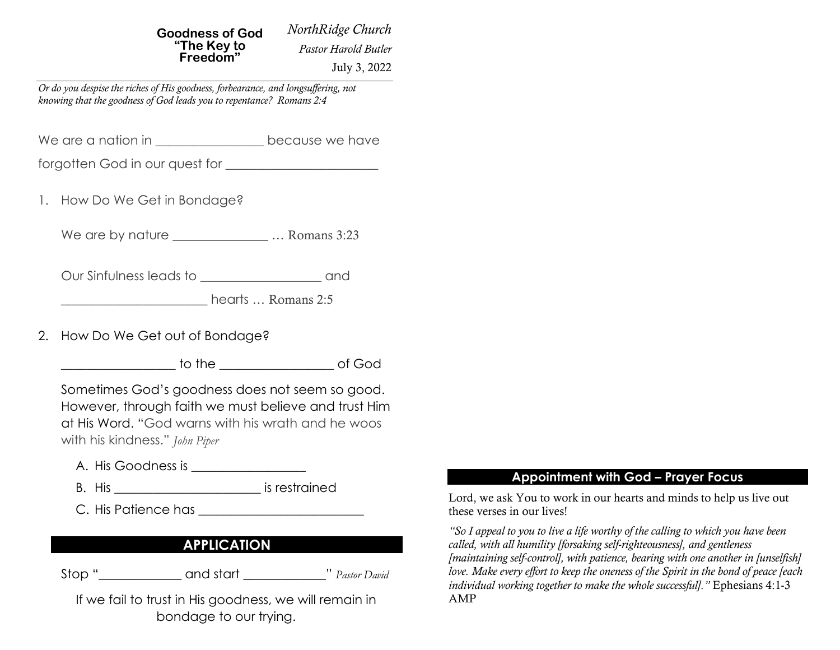*NorthRidge Church* **Goodness of God "The Key to Freedom"**

 *Pastor Harold Butler* July 3, 2022

*Or do you despise the riches of His goodness, forbearance, and longsuffering, not knowing that the goodness of God leads you to repentance? Romans 2:4*

We are a nation in \_\_\_\_\_\_\_\_\_\_\_\_\_\_\_\_\_ because we have

forgotten God in our quest for \_\_\_\_\_\_\_\_\_\_\_\_\_\_\_\_\_\_\_\_\_\_\_\_

1. How Do We Get in Bondage?

We are by nature \_\_\_\_\_\_\_\_\_\_\_\_\_\_\_\_\_\_\_\_\_... Romans 3:23

Our Sinfulness leads to \_\_\_\_\_\_\_\_\_\_\_\_\_\_\_\_\_\_\_ and

hearts … Romans 2:5

2. How Do We Get out of Bondage?

\_\_\_\_\_\_\_\_\_\_\_\_\_\_\_\_\_\_ to the \_\_\_\_\_\_\_\_\_\_\_\_\_\_\_\_\_\_ of God

Sometimes God's goodness does not seem so good. However, through faith we must believe and trust Him at His Word. "God warns with his wrath and he woos with his kindness." *John Piper*

- A. His Goodness is \_\_\_\_\_\_\_\_\_\_\_\_\_\_\_\_\_\_
- B. His \_\_\_\_\_\_\_\_\_\_\_\_\_\_\_\_\_\_\_\_\_\_\_ is restrained
- C. His Patience has **Example 20**

# **APPLICATION**

Stop "  $\qquad \qquad \text{and start}$  "  $\qquad \qquad$  "  $\qquad \qquad$  Pastor David

If we fail to trust in His goodness, we will remain in bondage to our trying.

#### **Appointment with God – Prayer Focus**

Lord, we ask You to work in our hearts and minds to help us live out these verses in our lives!

*"So I appeal to you to live a life worthy of the calling to which you have been called, with all humility [forsaking self-righteousness], and gentleness [maintaining self-control], with patience, bearing with one another in [unselfish] love. Make every effort to keep the oneness of the Spirit in the bond of peace [each individual working together to make the whole successful]."* Ephesians 4:1-3 AMP